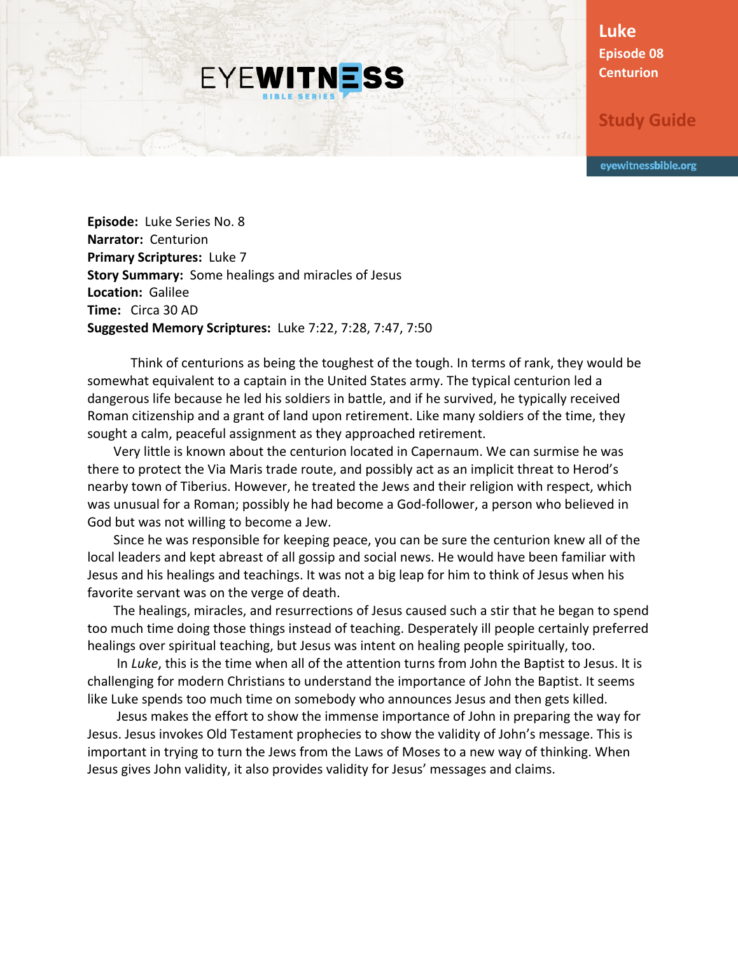**Luke Episode 08 Centurion**

**Study Guide**

eyewitnessbible.org

**Episode:** Luke Series No. 8 **Narrator:** Centurion **Primary Scriptures:** Luke 7 **Story Summary:** Some healings and miracles of Jesus **Location:** Galilee **Time:** Circa 30 AD **Suggested Memory Scriptures:** Luke 7:22, 7:28, 7:47, 7:50

**EYEWITNESS** 

Think of centurions as being the toughest of the tough. In terms of rank, they would be somewhat equivalent to a captain in the United States army. The typical centurion led a dangerous life because he led his soldiers in battle, and if he survived, he typically received Roman citizenship and a grant of land upon retirement. Like many soldiers of the time, they sought a calm, peaceful assignment as they approached retirement.

 Very little is known about the centurion located in Capernaum. We can surmise he was there to protect the Via Maris trade route, and possibly act as an implicit threat to Herod's nearby town of Tiberius. However, he treated the Jews and their religion with respect, which was unusual for a Roman; possibly he had become a God-follower, a person who believed in God but was not willing to become a Jew.

 Since he was responsible for keeping peace, you can be sure the centurion knew all of the local leaders and kept abreast of all gossip and social news. He would have been familiar with Jesus and his healings and teachings. It was not a big leap for him to think of Jesus when his favorite servant was on the verge of death.

 The healings, miracles, and resurrections of Jesus caused such a stir that he began to spend too much time doing those things instead of teaching. Desperately ill people certainly preferred healings over spiritual teaching, but Jesus was intent on healing people spiritually, too.

 In *Luke*, this is the time when all of the attention turns from John the Baptist to Jesus. It is challenging for modern Christians to understand the importance of John the Baptist. It seems like Luke spends too much time on somebody who announces Jesus and then gets killed.

 Jesus makes the effort to show the immense importance of John in preparing the way for Jesus. Jesus invokes Old Testament prophecies to show the validity of John's message. This is important in trying to turn the Jews from the Laws of Moses to a new way of thinking. When Jesus gives John validity, it also provides validity for Jesus' messages and claims.